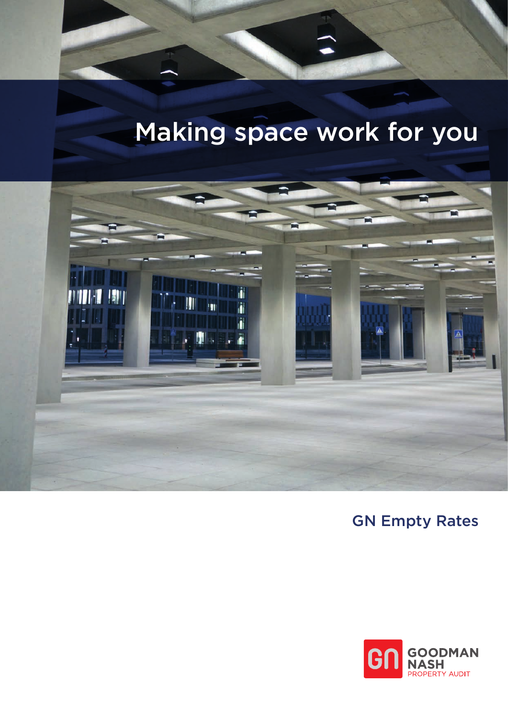# Making space work for you



## GN Empty Rates

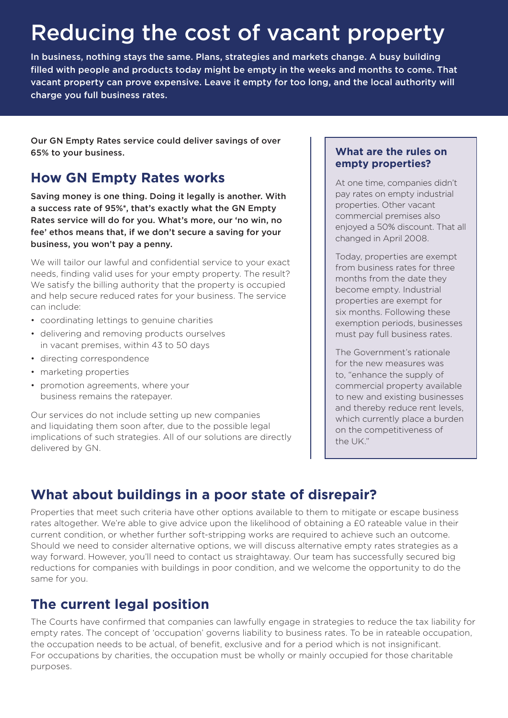## Reducing the cost of vacant property

In business, nothing stays the same. Plans, strategies and markets change. A busy building filled with people and products today might be empty in the weeks and months to come. That vacant property can prove expensive. Leave it empty for too long, and the local authority will charge you full business rates.

Our GN Empty Rates service could deliver savings of over 65% to your business.

## **How GN Empty Rates works**

Saving money is one thing. Doing it legally is another. With a success rate of 95%\*, that's exactly what the GN Empty Rates service will do for you. What's more, our 'no win, no fee' ethos means that, if we don't secure a saving for your business, you won't pay a penny.

We will tailor our lawful and confidential service to your exact needs, finding valid uses for your empty property. The result? We satisfy the billing authority that the property is occupied and help secure reduced rates for your business. The service can include:

- coordinating lettings to genuine charities
- delivering and removing products ourselves in vacant premises, within 43 to 50 days
- directing correspondence
- marketing properties
- promotion agreements, where your business remains the ratepayer.

Our services do not include setting up new companies and liquidating them soon after, due to the possible legal implications of such strategies. All of our solutions are directly delivered by GN.

#### **What are the rules on empty properties?**

At one time, companies didn't pay rates on empty industrial properties. Other vacant commercial premises also enjoyed a 50% discount. That all changed in April 2008.

Today, properties are exempt from business rates for three months from the date they become empty. Industrial properties are exempt for six months. Following these exemption periods, businesses must pay full business rates.

The Government's rationale for the new measures was to, "enhance the supply of commercial property available to new and existing businesses and thereby reduce rent levels, which currently place a burden on the competitiveness of the UK."

## **What about buildings in a poor state of disrepair?**

Properties that meet such criteria have other options available to them to mitigate or escape business rates altogether. We're able to give advice upon the likelihood of obtaining a £0 rateable value in their current condition, or whether further soft-stripping works are required to achieve such an outcome. Should we need to consider alternative options, we will discuss alternative empty rates strategies as a way forward. However, you'll need to contact us straightaway. Our team has successfully secured big reductions for companies with buildings in poor condition, and we welcome the opportunity to do the same for you.

### **The current legal position**

The Courts have confirmed that companies can lawfully engage in strategies to reduce the tax liability for empty rates. The concept of 'occupation' governs liability to business rates. To be in rateable occupation, the occupation needs to be actual, of benefit, exclusive and for a period which is not insignificant. For occupations by charities, the occupation must be wholly or mainly occupied for those charitable purposes.